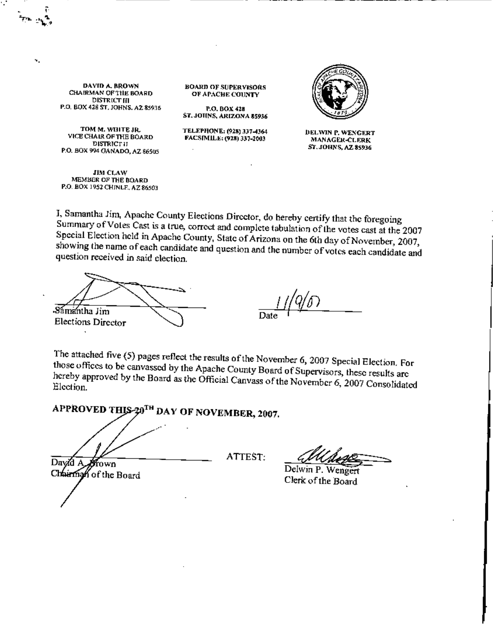**DAVID A. BROWN** CHAIRMAN OF THE BOARD **DISTRICT III** P.O. BOX 428 ST. JOHNS. AZ 85936

TOM M. WHITE JR. VICE CHAIR OF THE BOARD DISTRICT II P.O. BOX 994 GANADO, AZ 86505

**JIM CLAW** MEMBER OF THE ROARD P.O. BOX 1952 CHINLE, AZ 86503 **BOARD OF SUPERVISORS** OF APACHE COUNTY

P.O. BOX 428 ST. JOHNS, ARIZONA 85936

TELEPHONE: (928) 337-4364 FACSIMILE: (928) 337-2003



**DELWIN P. WENGERT MANAGER-CLERK** ST. JOHNS, AZ 85936

I, Samantha Jim, Apache County Elections Director, do hereby certify that the foregoing Summary of Votes Cast is a true, correct and complete tabulation of the votes cast at the 2007 Special Election held in Apache County, State of Arizona on the 6th day of November, 2007, showing the name of each candidate and question and the number of votes each candidate and question received in said election.

Sámantha Jim **Elections Director** 

The attached five (5) pages reflect the results of the November 6, 2007 Special Election. For those offices to be canvassed by the Apache County Board of Supervisors, these results are hereby approved by the Board as the Official Canvass of the November 6, 2007 Consolidated Election.

APPROVED THIS-20<sup>TH</sup> DAY OF NOVEMBER, 2007.

Day⁄d A Øfown

Chairman of the Board

ATTEST:

Delwin P. Wengert Clerk of the Board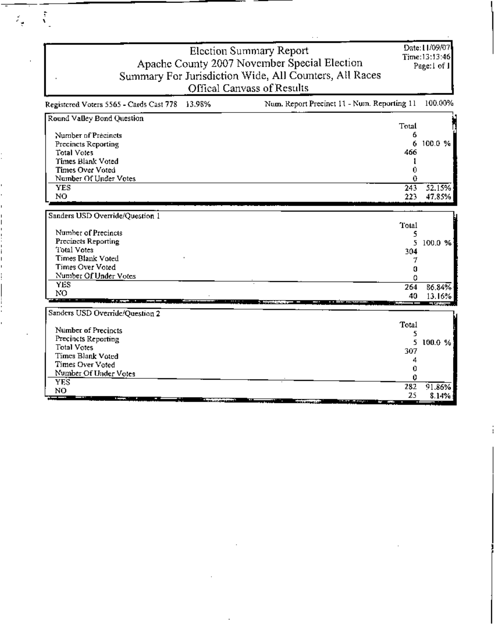Election Summary Report Apache County 2007 November Special Election<br>Summary For Jurisdiction Wide, All Counters, All Races<br>Offical Canvass of Results

 $\tilde{\mathcal{N}}_1$ 

 $\tilde{\epsilon}_{\rm e}$ 

Date:11/09/07<br>Time:13:13:46 Page:1 of I

| Registered Voters 5565 - Cards Cast 778 13.98% | Num. Report Precinct 11 - Num. Reporting 11 100.00% |  |
|------------------------------------------------|-----------------------------------------------------|--|
|                                                |                                                     |  |

| Round Valley Bond Question                | Total                                                                                                                                                                                                                                            |                    |
|-------------------------------------------|--------------------------------------------------------------------------------------------------------------------------------------------------------------------------------------------------------------------------------------------------|--------------------|
| Number of Precincts                       | 6                                                                                                                                                                                                                                                |                    |
|                                           | 6.                                                                                                                                                                                                                                               | 100.0 %            |
| Precincts Reporting<br><b>Total Votes</b> | 466                                                                                                                                                                                                                                              |                    |
| Times Blank Voted                         |                                                                                                                                                                                                                                                  |                    |
| Times Over Voted                          |                                                                                                                                                                                                                                                  |                    |
|                                           |                                                                                                                                                                                                                                                  |                    |
| Number Of Under Votes                     |                                                                                                                                                                                                                                                  |                    |
| <b>YES</b>                                | 243                                                                                                                                                                                                                                              | 52.15%             |
| NO                                        | 223                                                                                                                                                                                                                                              | 47.85%             |
|                                           |                                                                                                                                                                                                                                                  |                    |
| Sanders USD Override/Question 1           | Total                                                                                                                                                                                                                                            |                    |
| Number of Precincts                       |                                                                                                                                                                                                                                                  |                    |
| <b>Precincts Reporting</b>                | 5                                                                                                                                                                                                                                                | 100.0 %            |
| Total Votes                               | 304                                                                                                                                                                                                                                              |                    |
| <b>Times Blank Voted</b>                  |                                                                                                                                                                                                                                                  |                    |
| Times Over Voted                          | n                                                                                                                                                                                                                                                |                    |
| Number Of Under Votes                     |                                                                                                                                                                                                                                                  |                    |
| YES.                                      | 264                                                                                                                                                                                                                                              |                    |
| NO.                                       | 40                                                                                                                                                                                                                                               | 86.84%             |
| تہ ہیں ک                                  |                                                                                                                                                                                                                                                  | 13.16%<br>- Proven |
| Sanders USD Override/Question 2           |                                                                                                                                                                                                                                                  |                    |
|                                           | Total                                                                                                                                                                                                                                            |                    |
| Number of Precincts                       | 5                                                                                                                                                                                                                                                |                    |
| Precincts Reporting                       | 5                                                                                                                                                                                                                                                | 100.0 %            |
| <b>Total Votes</b>                        | 307                                                                                                                                                                                                                                              |                    |
| <b>Times Blank Voted</b>                  |                                                                                                                                                                                                                                                  |                    |
| Times Over Voted                          |                                                                                                                                                                                                                                                  |                    |
| Number Of Under Votes                     |                                                                                                                                                                                                                                                  |                    |
| <b>YES</b>                                | 282                                                                                                                                                                                                                                              | 91.86%             |
| NO                                        | 25                                                                                                                                                                                                                                               | 8.14%              |
| j<br>--<br><b>Commenced</b>               | <b><i><u>Property Contract Contract Contract Contract Contract Contract Contract Contract Contract Contract Contract Contract Contract Contract Contract Contract Contract Contract Contract Contract Contract Contract Contract Con</u></i></b> |                    |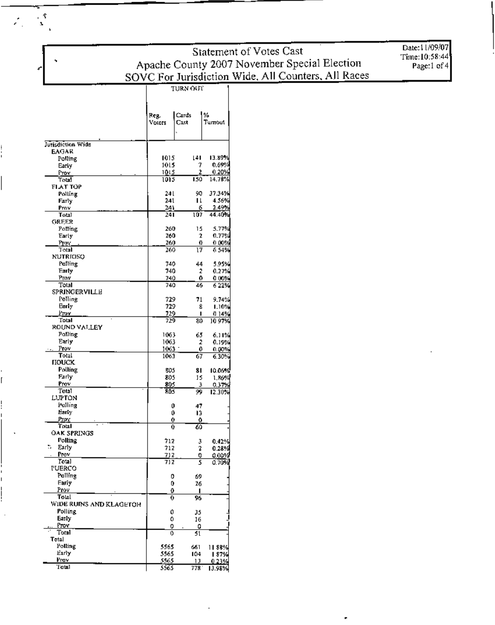| Statement of Votes Cast                             |
|-----------------------------------------------------|
| Apache County 2007 November Special Election        |
| SOVC For Jurisdiction Wide, All Counters, All Races |

**TURN OUT** 

Cards ١% Reg. Voters Cast Tumout Jurisdiction Wide **EAGAR** Polling 13.89% 1015  $[4]$ 1015 0.69%  $\overline{7}$ Early 0.20% 1015 Prov Total <u>1015</u> 130 14.78% **FLAT TOP** Polling  $241$ 90 37.34% Farly 241  $\mathbf{H}$ 4.56% 2.49% Prny 24).  $\frac{6}{5}$ Total  $\overline{241}$ 107 44.40% GREER Polling 260 15 5.77% Early 260  $\mathbf{2}$ 0.77%  $\pmb{0}$ 0.00% 260  $_{\text{For}}$ Total 260 17 6 5 4 % **NUTRIOSO** Polling 740 44 5.95% Early 740  $\overline{c}$ 0.27% Prov 740 0  $0.00%$ Total 740 46 6 2 2 % SPRINGERVILLE Polling 729 71 9.74% Early 729  $\boldsymbol{8}$ 1.10% 729  $0.14%$ <u>Provi</u> п Total 729 80 1097% ROUND VALLEY  $\operatorname{Polling}$ 65 1063 6.11% Early 1063  $\overline{2}$ 0.19% Prov<br>Total  $\mathbf{0}$ 1063  $0.00%$  $\cdot$  . 1063 67 6.30% **HOUCK** Polling 505  $31$ 10.06% Farly 805 15 1,86% Prov  $805$ 0.37%  $\mathbf{B}$ Total  $805$ 99 12.30% LUPTON Pulling  $\pmb{0}$ 47 Early  $\pmb{0}$ 13  $P_{\text{IDY}}$  $\ddot{\mathbf{0}}$  $\mathbf{0}$ Total  $\theta$ 60 OAK SPRINGS Polling  $712$ 3 0.42%  $\sim$  Early  $712$  $\overline{\mathbf{z}}$ 0.28% Prov 0.00%  $712$ 0  $T<sub>0</sub>$   $\Box$ 712 3 0.70% **PUERCO** Palling 0 69 Early  $\pmb{0}$ 26 Prov  $\pmb{\theta}$ J. Total  $\boldsymbol{\theta}$ 96 WIDE RUINS AND KLAGETOH Polling 0 35 Early 0 16 Prov ۰  $\mathbf{0}$ ÷ Total उ  $\overline{51}$ Total Polling 5565 661 1188% Early 5565 104 187% Prov

\$565

5565

0.23%

13.98%

13

778

 $\mathcal{E}_1 = \frac{\sqrt{3}}{3}$ 

ſ

Total

## Date:11/09/07 Time: 10:58:44 Page:1 of 4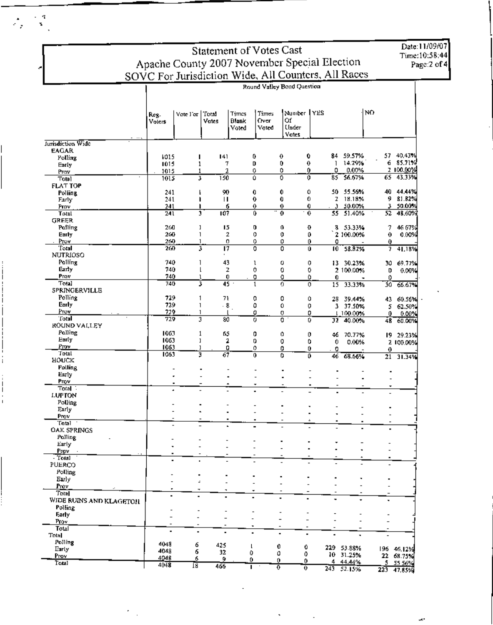|                         |                           |                | <b>Statement of Votes Cast</b>                      |                            |                |                          |                 |                     |          |                | Date:11/09/07 |
|-------------------------|---------------------------|----------------|-----------------------------------------------------|----------------------------|----------------|--------------------------|-----------------|---------------------|----------|----------------|---------------|
|                         |                           |                | Apache County 2007 November Special Election        |                            |                |                          |                 |                     |          |                | Time:10:58:44 |
|                         |                           |                |                                                     |                            |                |                          |                 |                     |          |                | Page:2 of 4   |
|                         |                           |                | SOVC For Jurisdiction Wide, All Counters, All Races |                            |                |                          |                 |                     |          |                |               |
|                         |                           |                |                                                     | Round Valley Bond Question |                |                          |                 |                     |          |                |               |
|                         |                           |                |                                                     |                            |                |                          |                 |                     |          |                |               |
|                         |                           |                |                                                     |                            |                |                          |                 |                     |          |                |               |
|                         | Reg.                      | Vote For Total | <b>Times</b>                                        | Times                      | Number YES     |                          |                 | NO.                 |          |                |               |
|                         | Volers                    | Votes          | Blank                                               | Over                       | Of             |                          |                 |                     |          |                |               |
|                         |                           |                | Voted                                               | Voted                      | Under          |                          |                 |                     |          |                |               |
|                         |                           |                |                                                     |                            | Vates          |                          |                 |                     |          |                |               |
| Jurisdiction Wide       |                           |                |                                                     |                            |                |                          |                 |                     |          |                |               |
| EAGAR                   | 1015                      | п              | 141                                                 | 0                          | 0              | 0                        |                 | 84 59.57%           |          | 57 40.43%      |               |
| Polling<br>Early        | 1015                      | 1              | 7                                                   | D                          | 0              | 0                        |                 | 14.29%              |          | 6 85.71%       |               |
| Prov                    | 1015                      | 1              | 2                                                   | 0                          | 0              | 0                        | 0               | 0.00%               |          | 2 100.00%      |               |
| <b>Total</b>            | 1015                      | 3              | 130                                                 | û                          | ٥              | 0.                       | 85              | 56.67%              | 65       | 43.33%         |               |
| <b>FLAT TOP</b>         |                           |                |                                                     |                            |                |                          |                 |                     |          |                |               |
| Polling                 | 241                       |                | 90                                                  | 0                          | 0              | 0                        |                 | 50 55.56%           | 40       | 44.44%         |               |
| Farly                   | 241                       |                | $\mathbf{H}$                                        | 0                          | 0              | 0                        |                 | 2 18.18%            | 9        | 81.82%         |               |
| Prov                    | 241                       | J.             | 6<br>107                                            | 0<br>0                     | 0<br>o         | 0<br>0                   | э               | 50.00%<br>55 51.40% | з        | 50.00%         |               |
| Total<br><b>GREER</b>   | 241                       |                |                                                     |                            |                |                          |                 |                     |          | 52 48.60%      |               |
| Polling                 | 260                       | ı              | 15                                                  | O                          | 0              | Ð                        |                 | 8 53.33%            | 7        | 46.67%         |               |
| Early                   | 260                       | 1              | 2                                                   | 0                          | 0              | 0                        |                 | 2 100,00%           | 0        | 0.00%          |               |
| Prov                    | 260                       | 1              | 0                                                   | 0                          | o              | 0                        | o               |                     | 0        |                |               |
| Total                   | 260                       | 3              | $\overline{17}$                                     | $\overline{0}$             | 0              | Ű                        | 10 <sup>7</sup> | 58.82%              | 7        | 41,18%         |               |
| <b>NUTRIOSO</b>         |                           |                |                                                     |                            |                |                          |                 |                     |          |                |               |
| Polling                 | 740                       | t              | 43                                                  | ı                          | 0              | 0                        |                 | 13 30 23%           | 30       | 69.77%         |               |
| Early<br>Prov           | 740<br>740                | ı              | z<br>0                                              | 0<br>0                     | 0<br>0         | 0<br>٥                   |                 | 2 100.00%           | D        | 0.00%          |               |
| Total                   | 740                       | 3              | $\overline{45}$                                     | 1                          | 6              | 0                        | 0.<br>15        | 33.33%              | 0<br>307 | 66.67%         |               |
| SPRINGERVILLE           |                           |                |                                                     |                            |                |                          |                 |                     |          |                |               |
| Polling                 | 729                       | 1              | 71                                                  | 0                          | 0              | û                        | 28.             | 39.44%              |          | 43 60.56%      |               |
| Early                   | 729                       | 1              | - 8                                                 | 0                          | 0              | 0                        |                 | 3 37.50%            | 5        | 62.50%         |               |
| Prov                    | 729                       | 1              |                                                     | Û                          | o              | 0                        |                 | 1.100.00%           | 0        | 0.00%          |               |
| Total                   | 729                       | 3              | 80                                                  | 0                          | 0              | 0                        |                 | 32 40.00%           |          | 48 60.00%      |               |
| ROUND VALLEY<br>Polling | 1063                      | 1              |                                                     |                            |                |                          |                 |                     |          |                |               |
| Early                   | 1063                      | ı              | 65<br>2                                             | 0<br>0                     | o<br>0         | 0<br>0                   | 46.<br>0        | 70.77%              |          | 19 29.23%      |               |
| Prov                    | 1063                      | ı              | 0                                                   | 0                          | 0              | 0                        | 0               | 0.00%               | 0        | 2 100,00%      |               |
| Total                   | 1063                      | 3              | 67                                                  | $\overline{0}$             | 0              | Ō                        | 46              | 68.66%              | 21       | 31.34%         |               |
| ночск                   |                           |                |                                                     |                            |                |                          |                 |                     |          |                |               |
| <b>Polling</b>          |                           |                |                                                     |                            |                |                          |                 |                     |          |                |               |
| Early<br>Prov           |                           |                |                                                     |                            |                |                          |                 |                     |          |                |               |
| Total -                 |                           |                |                                                     |                            |                |                          |                 |                     | ٠        |                |               |
| <b>LUPTON</b>           |                           |                |                                                     |                            |                |                          |                 |                     |          |                |               |
| Polling                 |                           |                |                                                     |                            |                |                          |                 |                     |          |                |               |
| Early                   |                           |                |                                                     |                            |                |                          |                 |                     |          |                |               |
| Prov                    |                           |                |                                                     |                            |                | $\overline{\phantom{a}}$ |                 |                     |          |                |               |
| Total :                 |                           |                |                                                     |                            |                |                          |                 |                     |          |                |               |
| OAK SPRINGS<br>Polling  |                           |                |                                                     |                            |                |                          |                 |                     |          |                |               |
| Early                   |                           |                |                                                     |                            |                |                          |                 |                     |          |                |               |
| Prav -                  |                           |                |                                                     |                            |                |                          |                 |                     |          |                |               |
| Total                   | ٠                         |                | $\overline{a}$                                      |                            |                |                          |                 |                     |          |                |               |
| PUERCO                  |                           |                |                                                     |                            |                |                          |                 |                     |          |                |               |
| Polling                 |                           |                |                                                     |                            |                |                          |                 |                     |          |                |               |
| Early                   |                           | ÷.             |                                                     |                            |                |                          |                 |                     |          |                |               |
| Provi<br>$\text{Total}$ |                           |                |                                                     |                            |                |                          |                 |                     |          |                |               |
| WIDE RUINS AND KLAGETOH |                           |                |                                                     |                            |                |                          |                 |                     |          |                |               |
| Polling                 |                           |                |                                                     |                            |                |                          |                 |                     |          |                |               |
| Early                   |                           |                |                                                     |                            |                |                          |                 |                     |          |                |               |
| Prov                    |                           |                |                                                     |                            |                |                          |                 |                     |          |                |               |
| Total <sup>-</sup>      |                           |                |                                                     | ٠<br>$\blacksquare$        | $\blacksquare$ | -<br>۰                   |                 |                     |          |                |               |
| Tota                    |                           |                |                                                     |                            |                |                          |                 |                     |          |                |               |
| Polling<br>Early        | 4048                      | 6              | 425                                                 | L                          | 0.             | 0                        |                 | 229 53.88%          |          | 196 46,12%     |               |
| Prov                    | 4048                      | 6              | 32                                                  | 0                          | ٥              | ٥                        |                 | 10 31.25%           |          | 22 68.75%      |               |
| Total                   | 4048<br>$40\overline{48}$ | 6<br>18        | 9.<br>466                                           | 0.                         | ΰ.             | 0                        |                 | $4.444\%$           |          | $5 - 5556%$    |               |
|                         |                           |                |                                                     | L.                         | $\overline{0}$ | o                        |                 | $243 - 52.15\%$     |          | $223 - 47.85%$ |               |

 $\mathbb{Z}$ 

l,

ł,  $\mathbf{L}$ 

 $\mathcal{F}_{\mathbf{y}} \in \mathcal{F}_{\mathbf{y}}$ 

ł

 $\frac{1}{1}$ 

 $\begin{array}{c} \n\downarrow \\
\downarrow \\
\downarrow\n\end{array}$ 

w.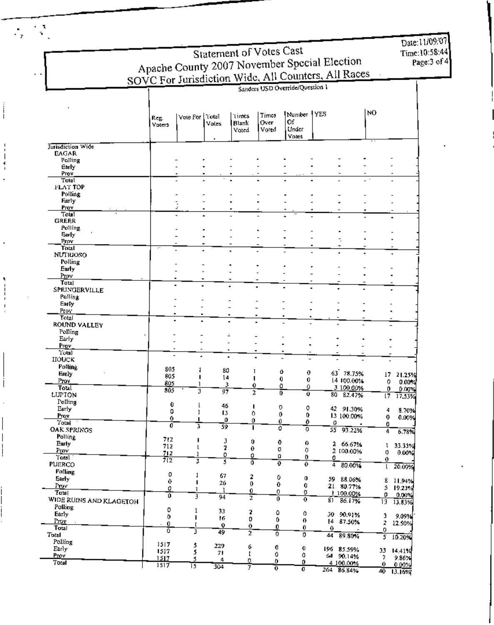| Statement of Votes Cast<br>Apache County 2007 November Special Election |                                                                                        |                         |              |                         |                        |                                 |          |                         |                    |                    |  |
|-------------------------------------------------------------------------|----------------------------------------------------------------------------------------|-------------------------|--------------|-------------------------|------------------------|---------------------------------|----------|-------------------------|--------------------|--------------------|--|
|                                                                         | SOVC For Jurisdiction Wide, All Counters, All Races<br>Sanders USD Override/Question 1 |                         |              |                         |                        |                                 |          |                         |                    |                    |  |
|                                                                         | Reg.<br><b>Voters</b>                                                                  | Vote For ['Total        | Voles        | limes<br>Blank<br>Voted | Times<br>Over<br>Voted | Number YES<br>Of<br>Under       |          |                         | NO                 |                    |  |
| Jurisdiction Wide                                                       |                                                                                        |                         |              |                         |                        | Vntes                           |          |                         |                    |                    |  |
| EAGAR                                                                   |                                                                                        |                         |              |                         |                        |                                 |          |                         |                    |                    |  |
| Polling<br>Early                                                        |                                                                                        |                         |              |                         |                        |                                 |          |                         |                    |                    |  |
| Prov                                                                    |                                                                                        |                         |              |                         |                        |                                 |          |                         |                    |                    |  |
| Total<br>FLAT TOP                                                       |                                                                                        |                         |              |                         |                        |                                 |          |                         |                    |                    |  |
| Polling                                                                 |                                                                                        |                         |              |                         |                        |                                 |          |                         |                    |                    |  |
| Farly<br>Pray                                                           |                                                                                        | z                       |              |                         |                        |                                 |          |                         |                    |                    |  |
| $To\overline{u}$                                                        |                                                                                        |                         |              |                         |                        |                                 |          |                         |                    |                    |  |
| <b>GREFR</b><br>Polling                                                 |                                                                                        |                         |              |                         |                        |                                 |          |                         |                    |                    |  |
| Farly                                                                   |                                                                                        |                         |              |                         |                        |                                 |          |                         |                    |                    |  |
| Prov<br>Total                                                           |                                                                                        |                         |              |                         |                        |                                 |          |                         |                    |                    |  |
| <b>NUTRIOSO</b>                                                         |                                                                                        |                         |              |                         |                        |                                 |          |                         |                    |                    |  |
| Polling                                                                 |                                                                                        |                         |              |                         |                        |                                 |          |                         |                    |                    |  |
| Early<br>Prov                                                           |                                                                                        |                         |              |                         |                        |                                 |          |                         |                    |                    |  |
| Total                                                                   |                                                                                        |                         |              |                         |                        |                                 |          |                         |                    |                    |  |
| SPRINGERVILLE<br>Polling                                                |                                                                                        |                         |              |                         |                        |                                 |          |                         |                    |                    |  |
| Early                                                                   |                                                                                        |                         |              |                         |                        |                                 |          |                         |                    |                    |  |
| Prov<br>Total                                                           |                                                                                        |                         |              |                         |                        |                                 |          |                         |                    |                    |  |
| ROUND VALLEY                                                            |                                                                                        |                         |              |                         |                        |                                 |          |                         |                    |                    |  |
| Polling<br>Early                                                        |                                                                                        |                         |              |                         |                        |                                 |          |                         |                    |                    |  |
| Prov                                                                    |                                                                                        |                         |              |                         |                        |                                 |          |                         |                    |                    |  |
| Total<br>HOUCK                                                          |                                                                                        |                         |              |                         |                        |                                 |          |                         |                    |                    |  |
| Polling                                                                 | 805                                                                                    |                         |              |                         |                        |                                 |          |                         |                    |                    |  |
| Early                                                                   | 805                                                                                    | п                       | 80<br>14     |                         | 1<br>п                 | 0<br>0<br>0<br>0                |          | 63 78.75%               |                    | 17 21.25%          |  |
| Prov<br>Total                                                           | 805<br>805                                                                             | -1                      |              | $\overline{\mathbf{3}}$ | 0                      | 0<br>Ò.                         |          | 14 100,00%<br>3 100.00% | 9.<br>$\mathbf{0}$ | 0.00%<br>_0.00%    |  |
| LUPTON                                                                  |                                                                                        | $\overline{\mathbf{3}}$ | 97           |                         | $\overline{z}$         | ō<br>ō                          |          | 80 82.47%               |                    | $17 - 17.53%$      |  |
| Polling<br>Early                                                        | 0                                                                                      | t                       | 46           |                         | п                      | 0<br>0                          |          | 42 91.30%               | 4                  | 8.70%              |  |
| Prov                                                                    | 0<br>0                                                                                 | 1<br>J.                 | 13<br>0      |                         | 0                      | 0<br>0                          |          | 13 100,00%              | 0                  | 0.00%              |  |
| Total<br>OAK SPRINGS                                                    | o                                                                                      | $\overline{\mathbf{3}}$ | 59           |                         | 0                      | 0<br>0<br>o<br>0                | 0<br>55  | 93.22%                  | O                  |                    |  |
| Polling                                                                 | 712                                                                                    |                         |              |                         |                        |                                 |          |                         | 4                  | 6.78%              |  |
| Early                                                                   | 712                                                                                    | ٠<br>ľ                  | з<br>2       | 0<br>0                  |                        | 0<br>$\boldsymbol{0}$<br>0<br>0 |          | 2 66.67%                |                    | 1 33.33%           |  |
| Prav<br>Total                                                           | 712<br>$\bar{\pi_2}$                                                                   | 1                       | 0            | 0                       |                        | ø<br>0.                         | 0        | 2 100.00%               | 0.<br>0            | 0.00%              |  |
| PUERCO                                                                  |                                                                                        | 3                       | 5            | ō                       |                        | $\overline{\mathfrak{o}}$<br>0. | 4        | 80.00%                  | t                  | 20.00%             |  |
| <b>Polling</b><br>Early                                                 | 0                                                                                      | 1                       | 67           | 2                       |                        | 0<br>0                          |          | 59 88.06%               |                    |                    |  |
| Prov                                                                    | $\bf{0}$<br>0                                                                          | т<br>1                  | 26<br>1      | 0                       |                        | 0<br>0                          |          | 21 80.77%               | 5                  | 8 11.94%<br>19.23% |  |
| Total                                                                   | ō                                                                                      | Э                       | 94           | 0<br>Ï                  |                        | 0<br>0<br>0<br>$\bf{o}$         |          | <u>1 100.00%</u>        | 0                  | 0.00%              |  |
| WIDE RUINS AND KLAGETOH<br>Polling                                      |                                                                                        |                         |              |                         |                        |                                 | $81^{-}$ | 86.17%                  | 13                 | 13.83%             |  |
| Early                                                                   | 0<br>0                                                                                 | $\mathbf{1}$<br>1       | 33<br>16     | 2<br>0                  | ٥<br>0                 | 0                               |          | 30 90.91%               | э                  | 9.09%              |  |
| Prov<br>Total                                                           | $\mathbf 0$                                                                            | $\mathbf{I}$            | $\mathbf{o}$ | $\mathbf 0$             | 0                      | 0<br>0                          | $\theta$ | 14 87.50%               | z                  | 12.50%             |  |
| Total                                                                   | ō                                                                                      | J                       | 49           | $\overline{2}$          | o                      | 0                               | 44       | $89.80\%$               | 0<br>5             | 10.20%             |  |
| Polling<br>Early                                                        | 1517                                                                                   | 3                       | 229          | 6                       | 0                      | 0                               |          | 196 85.59%              |                    |                    |  |
| Prov.                                                                   | 1517<br>1517                                                                           | 5<br>5                  | 71           | I.                      | 0                      | ٥                               |          | 64 90.14%               | 7                  | 33 14.41%<br>9.86% |  |
| Total                                                                   | 1517                                                                                   | 15                      | 4<br>304     | Q<br>7                  | 0<br>ᢛ                 | D.                              |          | 4.100.00%               | 0.                 | 0.00%              |  |

 $\begin{matrix} \vdots \\ \vdots \\ \vdots \end{matrix}$ 

 $\frac{1}{4}$ 

l,

 $\begin{bmatrix} 1 & 1 & 1 \\ 1 & 1 & 1 \\ 1 & 1 & 1 \end{bmatrix}$